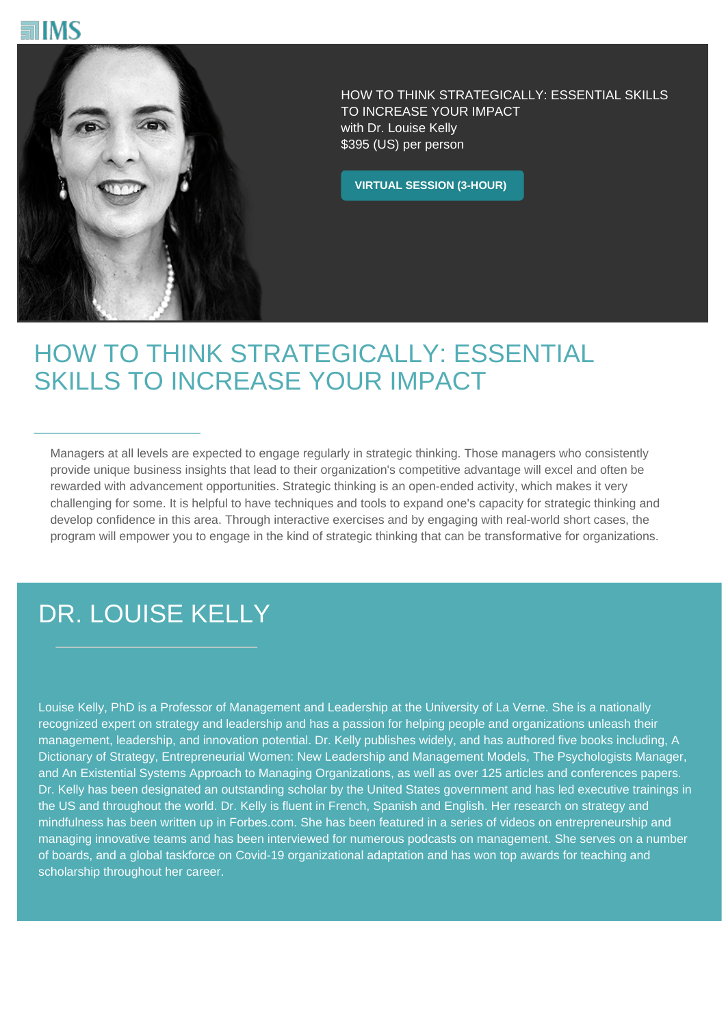



HOW TO THINK STRATEGICALLY: ESSENTIAL SKILLS TO INCREASE YOUR IMPACT with Dr. Louise Kelly \$395 (US) per person

**VIRTUAL SESSION (3-HOUR)**

## HOW TO THINK STRATEGICALLY: ESSENTIAL SKILLS TO INCREASE YOUR IMPACT

Managers at all levels are expected to engage regularly in strategic thinking. Those managers who consistently provide unique business insights that lead to their organization's competitive advantage will excel and often be rewarded with advancement opportunities. Strategic thinking is an open-ended activity, which makes it very challenging for some. It is helpful to have techniques and tools to expand one's capacity for strategic thinking and develop confidence in this area. Through interactive exercises and by engaging with real-world short cases, the program will empower you to engage in the kind of strategic thinking that can be transformative for organizations.

## DR. LOUISE KELLY

Louise Kelly, PhD is a Professor of Management and Leadership at the University of La Verne. She is a nationally recognized expert on strategy and leadership and has a passion for helping people and organizations unleash their management, leadership, and innovation potential. Dr. Kelly publishes widely, and has authored five books including, A Dictionary of Strategy, Entrepreneurial Women: New Leadership and Management Models, The Psychologists Manager, and An Existential Systems Approach to Managing Organizations, as well as over 125 articles and conferences papers. Dr. Kelly has been designated an outstanding scholar by the United States government and has led executive trainings in the US and throughout the world. Dr. Kelly is fluent in French, Spanish and English. Her research on strategy and mindfulness has been written up in Forbes.com. She has been featured in a series of videos on entrepreneurship and managing innovative teams and has been interviewed for numerous podcasts on management. She serves on a number of boards, and a global taskforce on Covid-19 organizational adaptation and has won top awards for teaching and scholarship throughout her career.